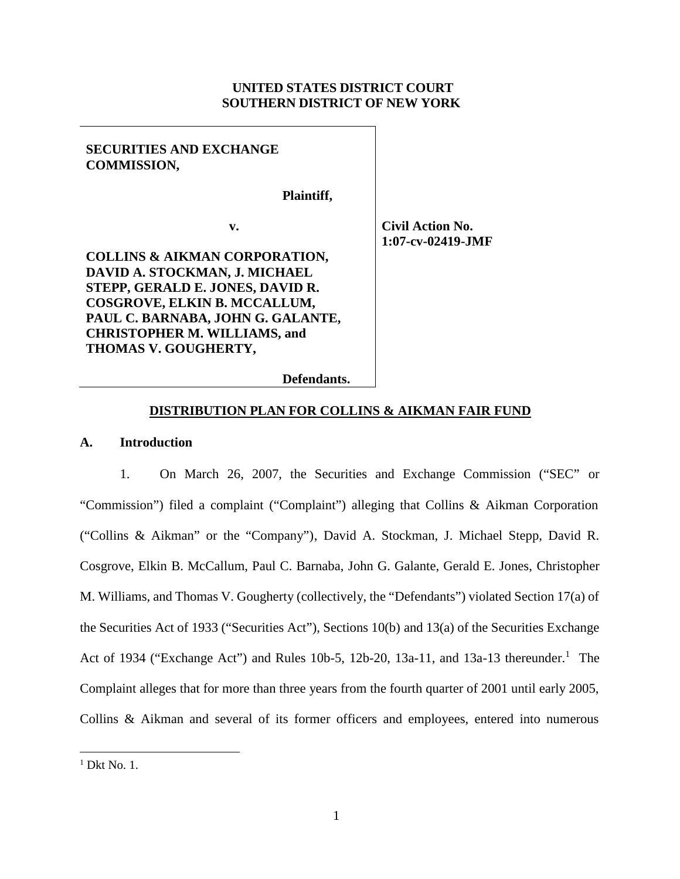## **UNITED STATES DISTRICT COURT SOUTHERN DISTRICT OF NEW YORK**

# **SECURITIES AND EXCHANGE COMMISSION,**

**Plaintiff,**

**v.**

**COLLINS & AIKMAN CORPORATION, DAVID A. STOCKMAN, J. MICHAEL STEPP, GERALD E. JONES, DAVID R. COSGROVE, ELKIN B. MCCALLUM, PAUL C. BARNABA, JOHN G. GALANTE, CHRISTOPHER M. WILLIAMS, and THOMAS V. GOUGHERTY,**

**Civil Action No. 1:07-cv-02419-JMF**

#### **Defendants.**

## **DISTRIBUTION PLAN FOR COLLINS & AIKMAN FAIR FUND**

## **A. Introduction**

1. On March 26, 2007, the Securities and Exchange Commission ("SEC" or "Commission") filed a complaint ("Complaint") alleging that Collins & Aikman Corporation ("Collins & Aikman" or the "Company"), David A. Stockman, J. Michael Stepp, David R. Cosgrove, Elkin B. McCallum, Paul C. Barnaba, John G. Galante, Gerald E. Jones, Christopher M. Williams, and Thomas V. Gougherty (collectively, the "Defendants") violated Section 17(a) of the Securities Act of 1933 ("Securities Act"), Sections 10(b) and 13(a) of the Securities Exchange Act of 1934 ("Exchange Act") and Rules 10b-5, 12b-20, 13a-11, and 13a-13 thereunder.<sup>1</sup> The Complaint alleges that for more than three years from the fourth quarter of 2001 until early 2005, Collins & Aikman and several of its former officers and employees, entered into numerous

 $<sup>1</sup>$  Dkt No. 1.</sup>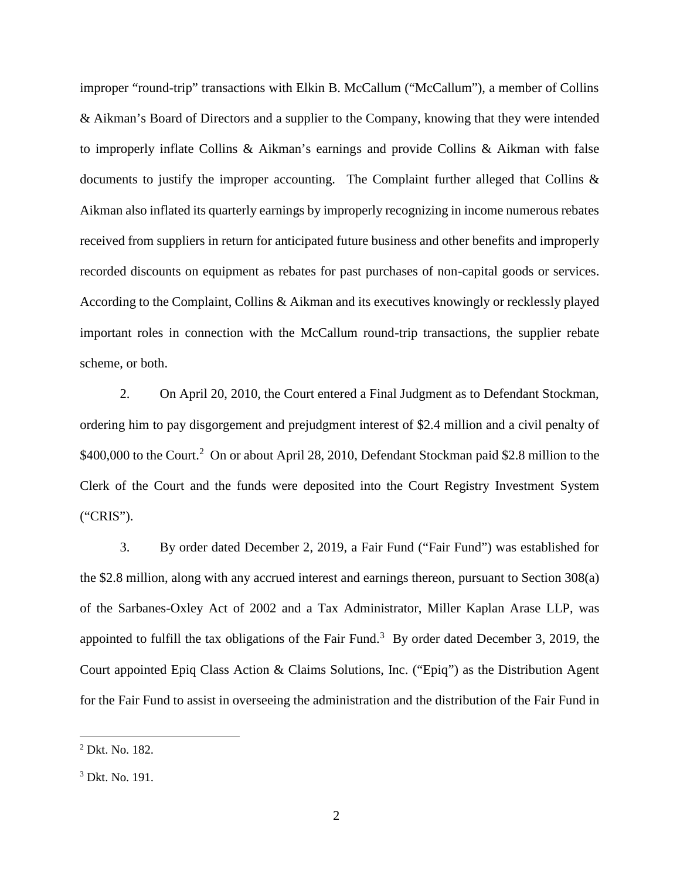improper "round-trip" transactions with Elkin B. McCallum ("McCallum"), a member of Collins & Aikman's Board of Directors and a supplier to the Company, knowing that they were intended to improperly inflate Collins & Aikman's earnings and provide Collins & Aikman with false documents to justify the improper accounting. The Complaint further alleged that Collins & Aikman also inflated its quarterly earnings by improperly recognizing in income numerous rebates received from suppliers in return for anticipated future business and other benefits and improperly recorded discounts on equipment as rebates for past purchases of non-capital goods or services. According to the Complaint, Collins & Aikman and its executives knowingly or recklessly played important roles in connection with the McCallum round-trip transactions, the supplier rebate scheme, or both.

2. On April 20, 2010, the Court entered a Final Judgment as to Defendant Stockman, ordering him to pay disgorgement and prejudgment interest of \$2.4 million and a civil penalty of \$400,000 to the Court.<sup>2</sup> On or about April 28, 2010, Defendant Stockman paid \$2.8 million to the Clerk of the Court and the funds were deposited into the Court Registry Investment System ("CRIS").

3. By order dated December 2, 2019, a Fair Fund ("Fair Fund") was established for the \$2.8 million, along with any accrued interest and earnings thereon, pursuant to Section 308(a) of the Sarbanes-Oxley Act of 2002 and a Tax Administrator, Miller Kaplan Arase LLP, was appointed to fulfill the tax obligations of the Fair Fund.<sup>3</sup> By order dated December 3, 2019, the Court appointed Epiq Class Action & Claims Solutions, Inc. ("Epiq") as the Distribution Agent for the Fair Fund to assist in overseeing the administration and the distribution of the Fair Fund in

<sup>2</sup> Dkt. No. 182.

<sup>3</sup> Dkt. No. 191.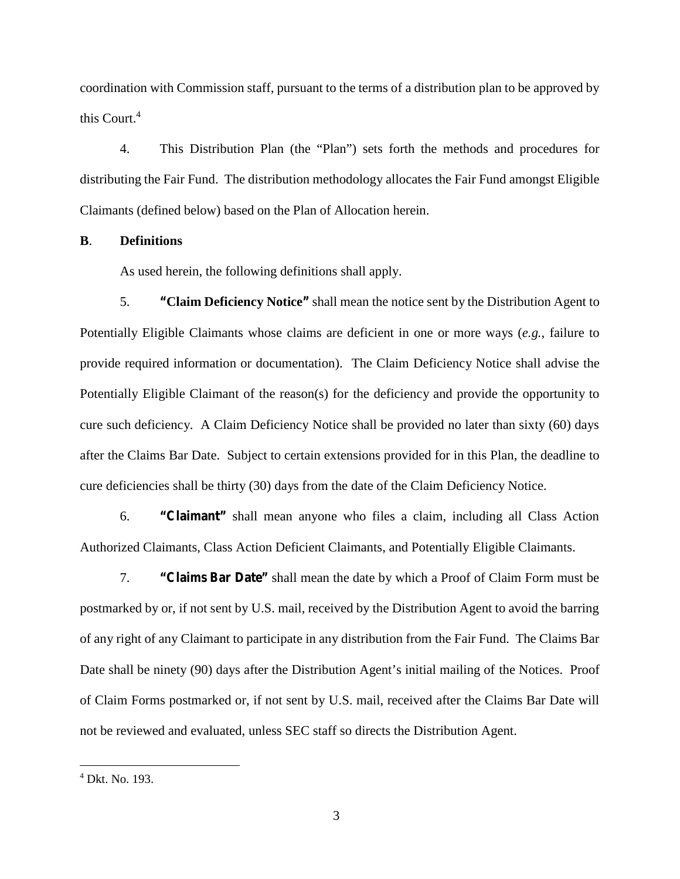coordination with Commission staff, pursuant to the terms of a distribution plan to be approved by this Court.<sup>4</sup>

4. This Distribution Plan (the "Plan") sets forth the methods and procedures for distributing the Fair Fund. The distribution methodology allocates the Fair Fund amongst Eligible Claimants (defined below) based on the Plan of Allocation herein.

**B**. **Definitions**

As used herein, the following definitions shall apply.

5. **"Claim Deficiency Notice"** shall mean the notice sent by the Distribution Agent to Potentially Eligible Claimants whose claims are deficient in one or more ways (*e.g.*, failure to provide required information or documentation). The Claim Deficiency Notice shall advise the Potentially Eligible Claimant of the reason(s) for the deficiency and provide the opportunity to cure such deficiency. A Claim Deficiency Notice shall be provided no later than sixty (60) days after the Claims Bar Date. Subject to certain extensions provided for in this Plan, the deadline to cure deficiencies shall be thirty (30) days from the date of the Claim Deficiency Notice.

6. **"Claimant"** shall mean anyone who files a claim, including all Class Action Authorized Claimants, Class Action Deficient Claimants, and Potentially Eligible Claimants.

7. **"Claims Bar Date"** shall mean the date by which a Proof of Claim Form must be postmarked by or, if not sent by U.S. mail, received by the Distribution Agent to avoid the barring of any right of any Claimant to participate in any distribution from the Fair Fund. The Claims Bar Date shall be ninety (90) days after the Distribution Agent's initial mailing of the Notices. Proof of Claim Forms postmarked or, if not sent by U.S. mail, received after the Claims Bar Date will not be reviewed and evaluated, unless SEC staff so directs the Distribution Agent.

<sup>4</sup> Dkt. No. 193.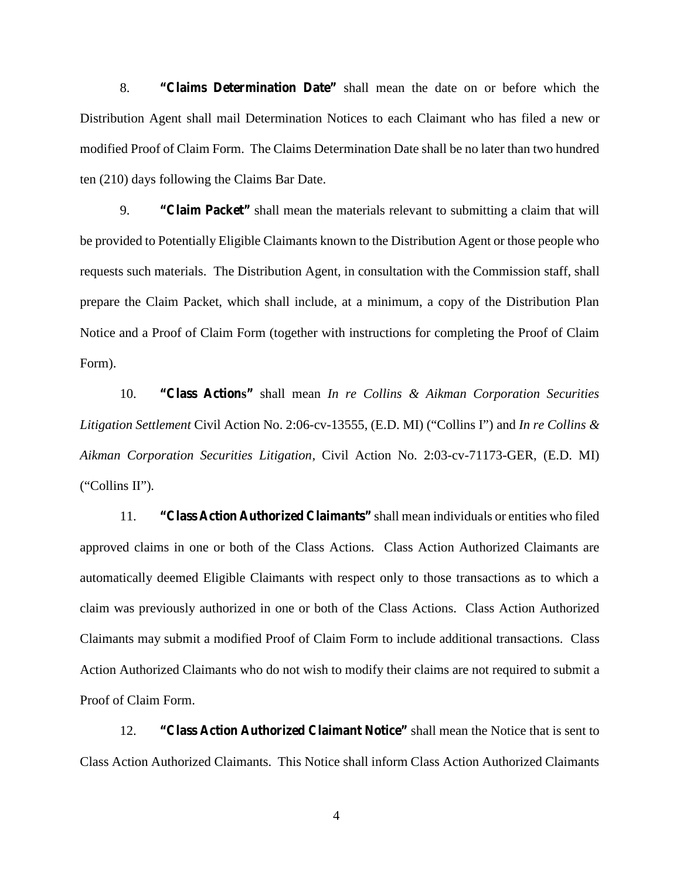8. **"Claims Determination Date"** shall mean the date on or before which the Distribution Agent shall mail Determination Notices to each Claimant who has filed a new or modified Proof of Claim Form. The Claims Determination Date shall be no later than two hundred ten (210) days following the Claims Bar Date.

9. **"Claim Packet"** shall mean the materials relevant to submitting a claim that will be provided to Potentially Eligible Claimants known to the Distribution Agent or those people who requests such materials. The Distribution Agent, in consultation with the Commission staff, shall prepare the Claim Packet, which shall include, at a minimum, a copy of the Distribution Plan Notice and a Proof of Claim Form (together with instructions for completing the Proof of Claim Form).

10. **"Class Actions"** shall mean *In re Collins & Aikman Corporation Securities Litigation Settlement* Civil Action No. 2:06-cv-13555, (E.D. MI) ("Collins I") and *In re Collins & Aikman Corporation Securities Litigation,* Civil Action No. 2:03-cv-71173-GER, (E.D. MI) ("Collins II")*.*

11. **"Class Action Authorized Claimants"** shall mean individuals or entities who filed approved claims in one or both of the Class Actions. Class Action Authorized Claimants are automatically deemed Eligible Claimants with respect only to those transactions as to which a claim was previously authorized in one or both of the Class Actions. Class Action Authorized Claimants may submit a modified Proof of Claim Form to include additional transactions. Class Action Authorized Claimants who do not wish to modify their claims are not required to submit a Proof of Claim Form.

12. **"Class Action Authorized Claimant Notice"** shall mean the Notice that is sent to Class Action Authorized Claimants. This Notice shall inform Class Action Authorized Claimants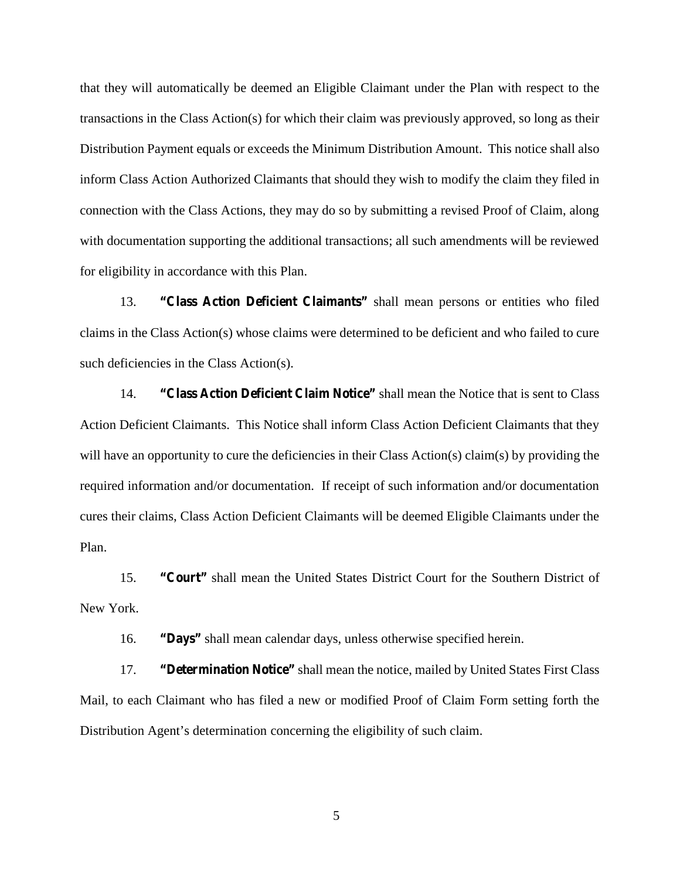that they will automatically be deemed an Eligible Claimant under the Plan with respect to the transactions in the Class Action(s) for which their claim was previously approved, so long as their Distribution Payment equals or exceeds the Minimum Distribution Amount. This notice shall also inform Class Action Authorized Claimants that should they wish to modify the claim they filed in connection with the Class Actions, they may do so by submitting a revised Proof of Claim, along with documentation supporting the additional transactions; all such amendments will be reviewed for eligibility in accordance with this Plan.

13. **"Class Action Deficient Claimants"** shall mean persons or entities who filed claims in the Class Action(s) whose claims were determined to be deficient and who failed to cure such deficiencies in the Class Action(s).

14. **"Class Action Deficient Claim Notice"** shall mean the Notice that is sent to Class Action Deficient Claimants. This Notice shall inform Class Action Deficient Claimants that they will have an opportunity to cure the deficiencies in their Class Action(s) claim(s) by providing the required information and/or documentation. If receipt of such information and/or documentation cures their claims, Class Action Deficient Claimants will be deemed Eligible Claimants under the Plan.

15. **"Court"** shall mean the United States District Court for the Southern District of New York.

16. **"Days"** shall mean calendar days, unless otherwise specified herein.

17. **"Determination Notice"** shall mean the notice, mailed by United States First Class Mail, to each Claimant who has filed a new or modified Proof of Claim Form setting forth the Distribution Agent's determination concerning the eligibility of such claim.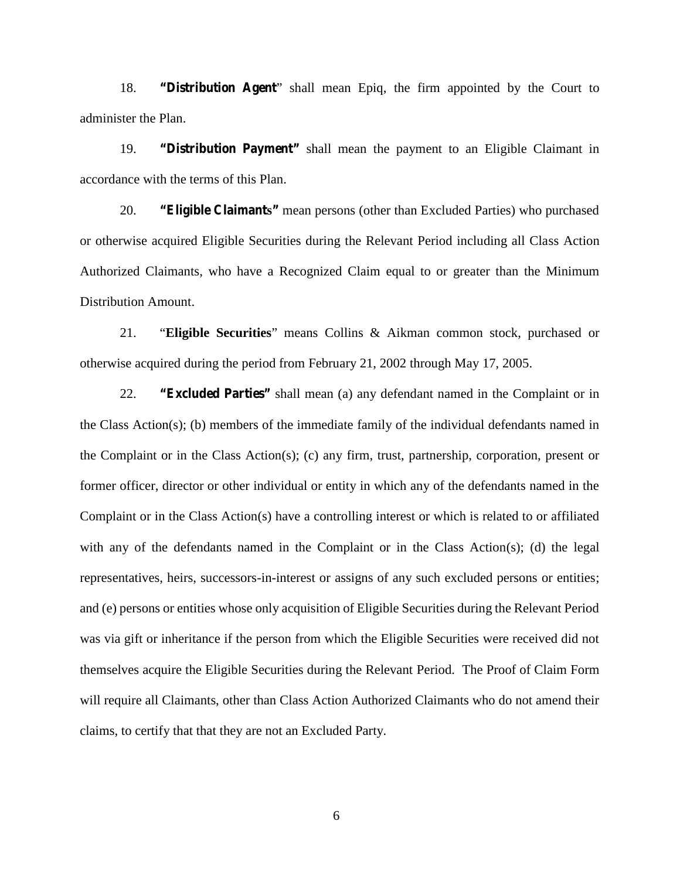18. **"Distribution Agent**" shall mean Epiq, the firm appointed by the Court to administer the Plan.

19. **"Distribution Payment"** shall mean the payment to an Eligible Claimant in accordance with the terms of this Plan.

20. **"Eligible Claimants"** mean persons (other than Excluded Parties) who purchased or otherwise acquired Eligible Securities during the Relevant Period including all Class Action Authorized Claimants, who have a Recognized Claim equal to or greater than the Minimum Distribution Amount.

21. "**Eligible Securities**" means Collins & Aikman common stock, purchased or otherwise acquired during the period from February 21, 2002 through May 17, 2005.

22. **"Excluded Parties"** shall mean (a) any defendant named in the Complaint or in the Class Action(s); (b) members of the immediate family of the individual defendants named in the Complaint or in the Class Action(s); (c) any firm, trust, partnership, corporation, present or former officer, director or other individual or entity in which any of the defendants named in the Complaint or in the Class Action(s) have a controlling interest or which is related to or affiliated with any of the defendants named in the Complaint or in the Class Action(s); (d) the legal representatives, heirs, successors-in-interest or assigns of any such excluded persons or entities; and (e) persons or entities whose only acquisition of Eligible Securities during the Relevant Period was via gift or inheritance if the person from which the Eligible Securities were received did not themselves acquire the Eligible Securities during the Relevant Period. The Proof of Claim Form will require all Claimants, other than Class Action Authorized Claimants who do not amend their claims, to certify that that they are not an Excluded Party.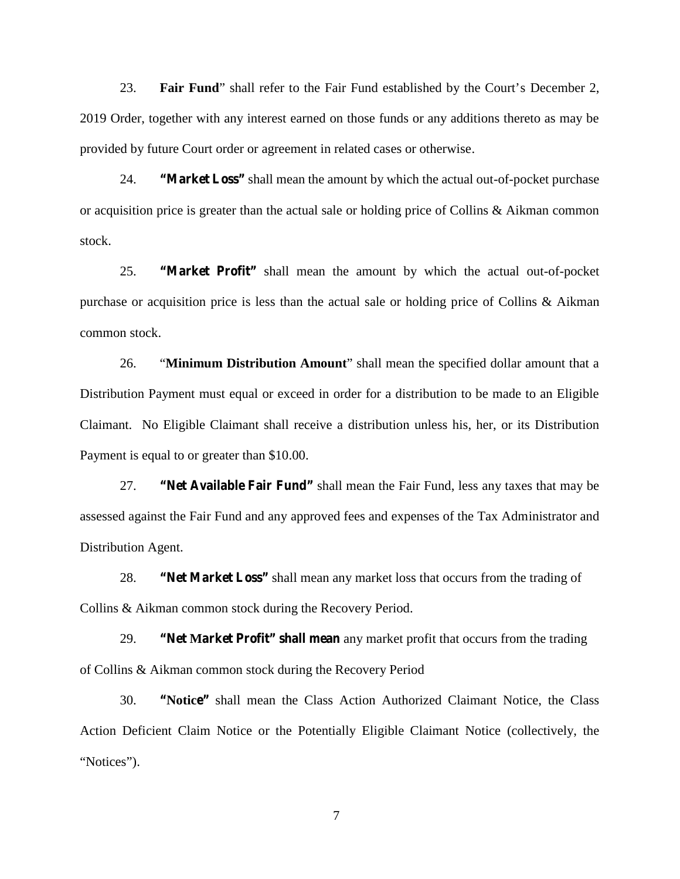23. **Fair Fund**" shall refer to the Fair Fund established by the Court's December 2, 2019 Order, together with any interest earned on those funds or any additions thereto as may be provided by future Court order or agreement in related cases or otherwise.

24. **"Market Loss"** shall mean the amount by which the actual out-of-pocket purchase or acquisition price is greater than the actual sale or holding price of Collins & Aikman common stock.

25. **"Market Profit"** shall mean the amount by which the actual out-of-pocket purchase or acquisition price is less than the actual sale or holding price of Collins & Aikman common stock.

26. "**Minimum Distribution Amount**" shall mean the specified dollar amount that a Distribution Payment must equal or exceed in order for a distribution to be made to an Eligible Claimant. No Eligible Claimant shall receive a distribution unless his, her, or its Distribution Payment is equal to or greater than \$10.00.

27. **"Net Available Fair Fund"** shall mean the Fair Fund, less any taxes that may be assessed against the Fair Fund and any approved fees and expenses of the Tax Administrator and Distribution Agent.

28. **"Net Market Loss"** shall mean any market loss that occurs from the trading of Collins & Aikman common stock during the Recovery Period.

29. **"Net Market Profit" shall mean** any market profit that occurs from the trading of Collins & Aikman common stock during the Recovery Period

30. **"Notice"** shall mean the Class Action Authorized Claimant Notice, the Class Action Deficient Claim Notice or the Potentially Eligible Claimant Notice (collectively, the "Notices").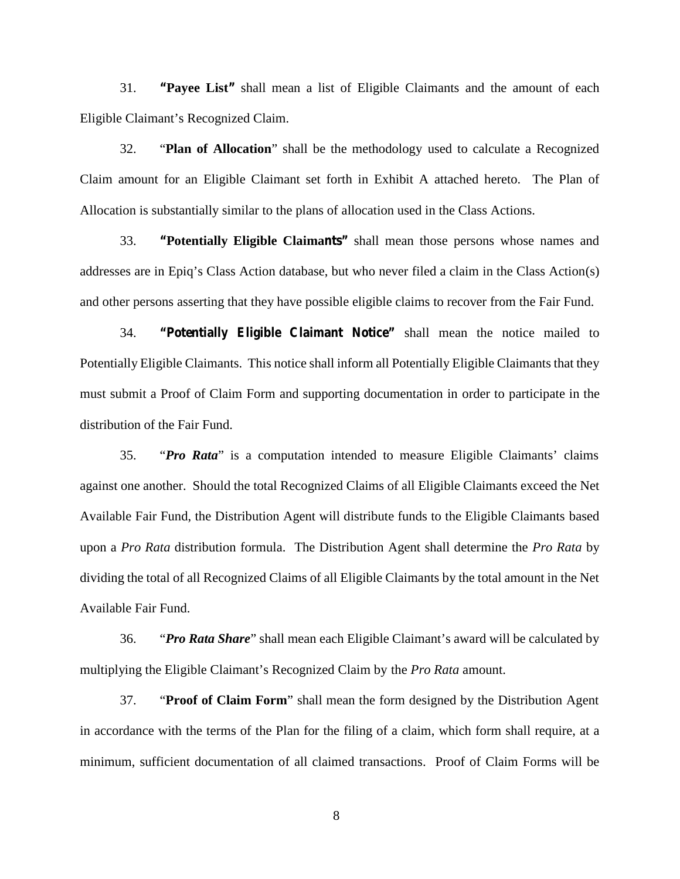31. **"Payee List"** shall mean a list of Eligible Claimants and the amount of each Eligible Claimant's Recognized Claim.

32. "**Plan of Allocation**" shall be the methodology used to calculate a Recognized Claim amount for an Eligible Claimant set forth in Exhibit A attached hereto. The Plan of Allocation is substantially similar to the plans of allocation used in the Class Actions.

33. **"Potentially Eligible Claimants"** shall mean those persons whose names and addresses are in Epiq's Class Action database, but who never filed a claim in the Class Action(s) and other persons asserting that they have possible eligible claims to recover from the Fair Fund.

34. **"Potentially Eligible Claimant Notice"** shall mean the notice mailed to Potentially Eligible Claimants. This notice shall inform all Potentially Eligible Claimants that they must submit a Proof of Claim Form and supporting documentation in order to participate in the distribution of the Fair Fund.

35. "*Pro Rata*" is a computation intended to measure Eligible Claimants' claims against one another. Should the total Recognized Claims of all Eligible Claimants exceed the Net Available Fair Fund, the Distribution Agent will distribute funds to the Eligible Claimants based upon a *Pro Rata* distribution formula. The Distribution Agent shall determine the *Pro Rata* by dividing the total of all Recognized Claims of all Eligible Claimants by the total amount in the Net Available Fair Fund.

36. "*Pro Rata Share*" shall mean each Eligible Claimant's award will be calculated by multiplying the Eligible Claimant's Recognized Claim by the *Pro Rata* amount.

37. "**Proof of Claim Form**" shall mean the form designed by the Distribution Agent in accordance with the terms of the Plan for the filing of a claim, which form shall require, at a minimum, sufficient documentation of all claimed transactions. Proof of Claim Forms will be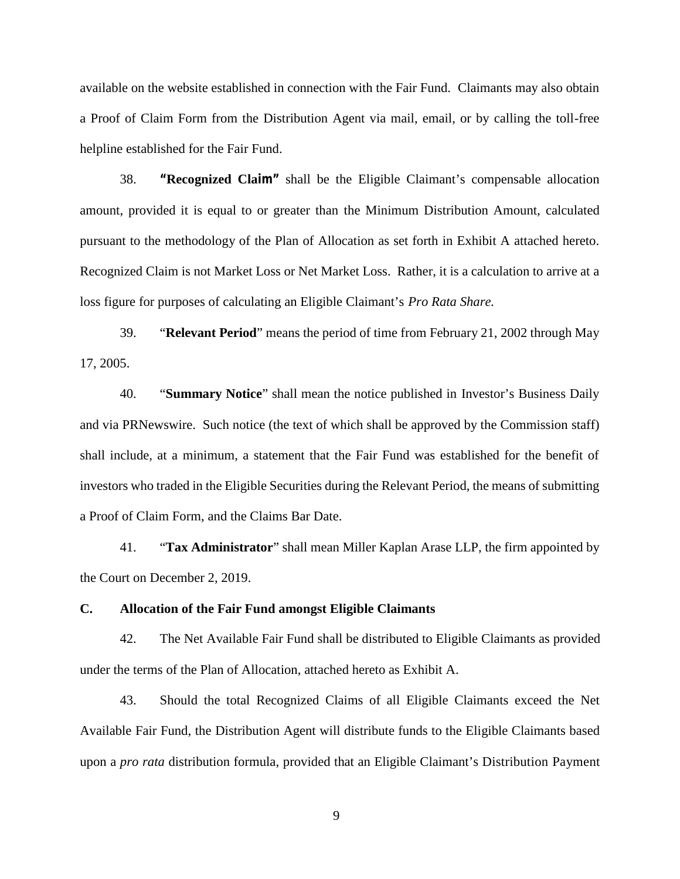available on the website established in connection with the Fair Fund. Claimants may also obtain a Proof of Claim Form from the Distribution Agent via mail, email, or by calling the toll-free helpline established for the Fair Fund.

38. **"Recognized Claim"** shall be the Eligible Claimant's compensable allocation amount, provided it is equal to or greater than the Minimum Distribution Amount, calculated pursuant to the methodology of the Plan of Allocation as set forth in Exhibit A attached hereto. Recognized Claim is not Market Loss or Net Market Loss. Rather, it is a calculation to arrive at a loss figure for purposes of calculating an Eligible Claimant's *Pro Rata Share.*

39. "**Relevant Period**" means the period of time from February 21, 2002 through May 17, 2005.

40. "**Summary Notice**" shall mean the notice published in Investor's Business Daily and via PRNewswire. Such notice (the text of which shall be approved by the Commission staff) shall include, at a minimum, a statement that the Fair Fund was established for the benefit of investors who traded in the Eligible Securities during the Relevant Period, the means of submitting a Proof of Claim Form, and the Claims Bar Date.

41. "**Tax Administrator**" shall mean Miller Kaplan Arase LLP, the firm appointed by the Court on December 2, 2019.

## **C. Allocation of the Fair Fund amongst Eligible Claimants**

42. The Net Available Fair Fund shall be distributed to Eligible Claimants as provided under the terms of the Plan of Allocation, attached hereto as Exhibit A.

43. Should the total Recognized Claims of all Eligible Claimants exceed the Net Available Fair Fund, the Distribution Agent will distribute funds to the Eligible Claimants based upon a *pro rata* distribution formula, provided that an Eligible Claimant's Distribution Payment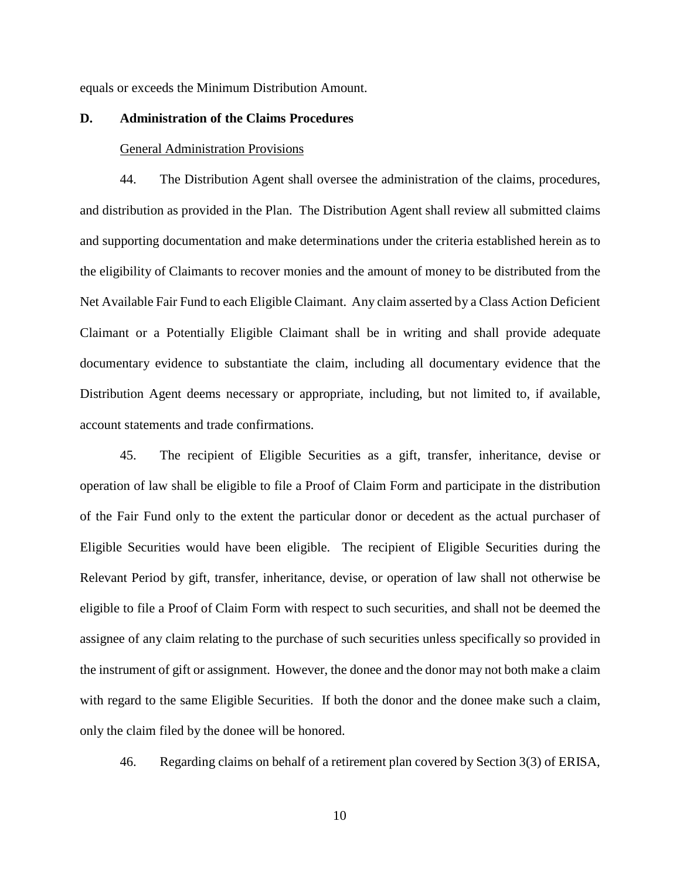equals or exceeds the Minimum Distribution Amount.

## **D. Administration of the Claims Procedures**

#### General Administration Provisions

44. The Distribution Agent shall oversee the administration of the claims, procedures, and distribution as provided in the Plan. The Distribution Agent shall review all submitted claims and supporting documentation and make determinations under the criteria established herein as to the eligibility of Claimants to recover monies and the amount of money to be distributed from the Net Available Fair Fund to each Eligible Claimant. Any claim asserted by a Class Action Deficient Claimant or a Potentially Eligible Claimant shall be in writing and shall provide adequate documentary evidence to substantiate the claim, including all documentary evidence that the Distribution Agent deems necessary or appropriate, including, but not limited to, if available, account statements and trade confirmations.

45. The recipient of Eligible Securities as a gift, transfer, inheritance, devise or operation of law shall be eligible to file a Proof of Claim Form and participate in the distribution of the Fair Fund only to the extent the particular donor or decedent as the actual purchaser of Eligible Securities would have been eligible. The recipient of Eligible Securities during the Relevant Period by gift, transfer, inheritance, devise, or operation of law shall not otherwise be eligible to file a Proof of Claim Form with respect to such securities, and shall not be deemed the assignee of any claim relating to the purchase of such securities unless specifically so provided in the instrument of gift or assignment. However, the donee and the donor may not both make a claim with regard to the same Eligible Securities. If both the donor and the donee make such a claim, only the claim filed by the donee will be honored.

46. Regarding claims on behalf of a retirement plan covered by Section 3(3) of ERISA,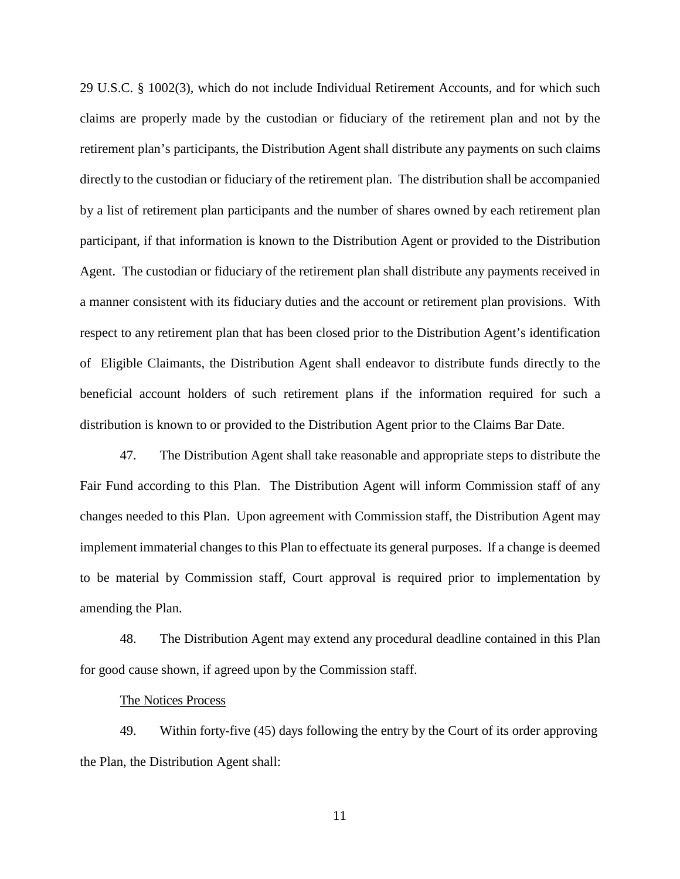29 U.S.C. § 1002(3), which do not include Individual Retirement Accounts, and for which such claims are properly made by the custodian or fiduciary of the retirement plan and not by the retirement plan's participants, the Distribution Agent shall distribute any payments on such claims directly to the custodian or fiduciary of the retirement plan. The distribution shall be accompanied by a list of retirement plan participants and the number of shares owned by each retirement plan participant, if that information is known to the Distribution Agent or provided to the Distribution Agent. The custodian or fiduciary of the retirement plan shall distribute any payments received in a manner consistent with its fiduciary duties and the account or retirement plan provisions. With respect to any retirement plan that has been closed prior to the Distribution Agent's identification of Eligible Claimants, the Distribution Agent shall endeavor to distribute funds directly to the beneficial account holders of such retirement plans if the information required for such a distribution is known to or provided to the Distribution Agent prior to the Claims Bar Date.

47. The Distribution Agent shall take reasonable and appropriate steps to distribute the Fair Fund according to this Plan. The Distribution Agent will inform Commission staff of any changes needed to this Plan. Upon agreement with Commission staff, the Distribution Agent may implement immaterial changes to this Plan to effectuate its general purposes. If a change is deemed to be material by Commission staff, Court approval is required prior to implementation by amending the Plan.

48. The Distribution Agent may extend any procedural deadline contained in this Plan for good cause shown, if agreed upon by the Commission staff.

#### The Notices Process

49. Within forty-five (45) days following the entry by the Court of its order approving the Plan, the Distribution Agent shall: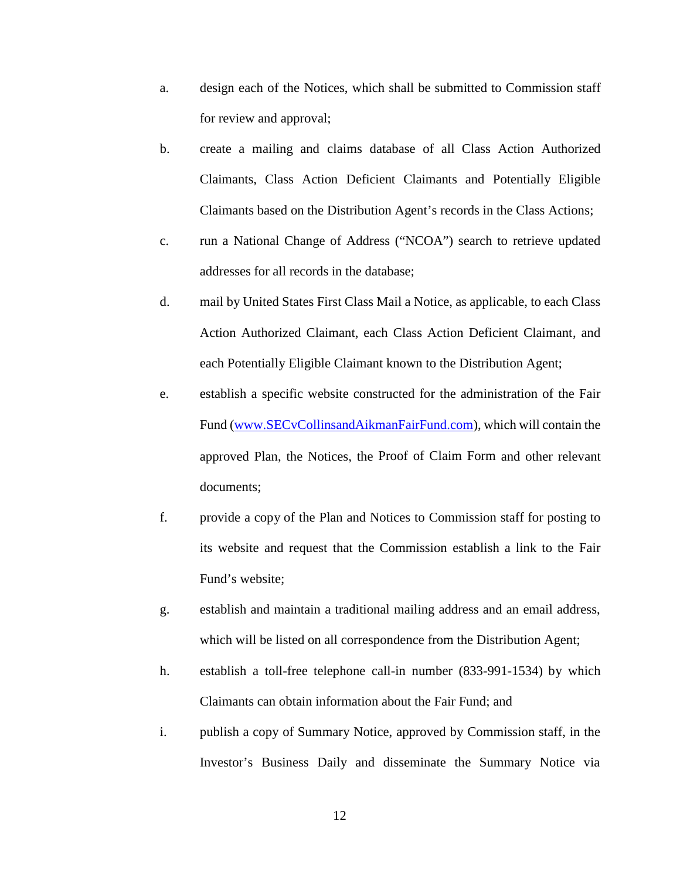- a. design each of the Notices, which shall be submitted to Commission staff for review and approval;
- b. create a mailing and claims database of all Class Action Authorized Claimants, Class Action Deficient Claimants and Potentially Eligible Claimants based on the Distribution Agent's records in the Class Actions;
- c. run a National Change of Address ("NCOA") search to retrieve updated addresses for all records in the database;
- d. mail by United States First Class Mail a Notice, as applicable, to each Class Action Authorized Claimant, each Class Action Deficient Claimant, and each Potentially Eligible Claimant known to the Distribution Agent;
- e. establish a specific website constructed for the administration of the Fair Fund (www.SECvCollinsandAikmanFairFund.com), which will contain the approved Plan, the Notices, the Proof of Claim Form and other relevant documents;
- f. provide a copy of the Plan and Notices to Commission staff for posting to its website and request that the Commission establish a link to the Fair Fund's website;
- g. establish and maintain a traditional mailing address and an email address, which will be listed on all correspondence from the Distribution Agent;
- h. establish a toll-free telephone call-in number (833-991-1534) by which Claimants can obtain information about the Fair Fund; and
- i. publish a copy of Summary Notice, approved by Commission staff, in the Investor's Business Daily and disseminate the Summary Notice via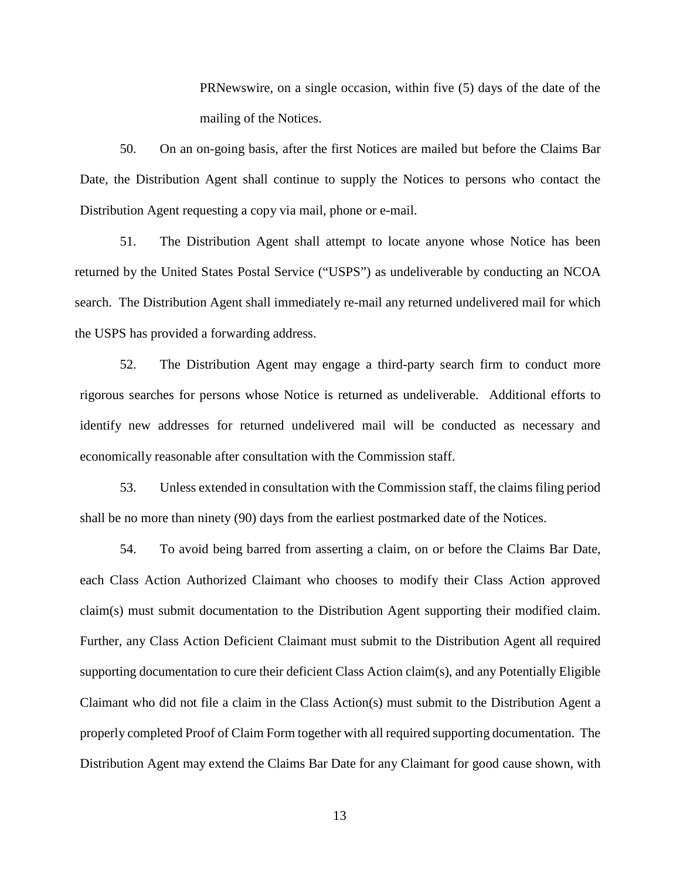PRNewswire, on a single occasion, within five (5) days of the date of the mailing of the Notices.

50. On an on-going basis, after the first Notices are mailed but before the Claims Bar Date, the Distribution Agent shall continue to supply the Notices to persons who contact the Distribution Agent requesting a copy via mail, phone or e-mail.

51. The Distribution Agent shall attempt to locate anyone whose Notice has been returned by the United States Postal Service ("USPS") as undeliverable by conducting an NCOA search. The Distribution Agent shall immediately re-mail any returned undelivered mail for which the USPS has provided a forwarding address.

52. The Distribution Agent may engage a third-party search firm to conduct more rigorous searches for persons whose Notice is returned as undeliverable. Additional efforts to identify new addresses for returned undelivered mail will be conducted as necessary and economically reasonable after consultation with the Commission staff.

53. Unless extended in consultation with the Commission staff, the claims filing period shall be no more than ninety (90) days from the earliest postmarked date of the Notices.

54. To avoid being barred from asserting a claim, on or before the Claims Bar Date, each Class Action Authorized Claimant who chooses to modify their Class Action approved claim(s) must submit documentation to the Distribution Agent supporting their modified claim. Further, any Class Action Deficient Claimant must submit to the Distribution Agent all required supporting documentation to cure their deficient Class Action claim(s), and any Potentially Eligible Claimant who did not file a claim in the Class Action(s) must submit to the Distribution Agent a properly completed Proof of Claim Form together with all required supporting documentation. The Distribution Agent may extend the Claims Bar Date for any Claimant for good cause shown, with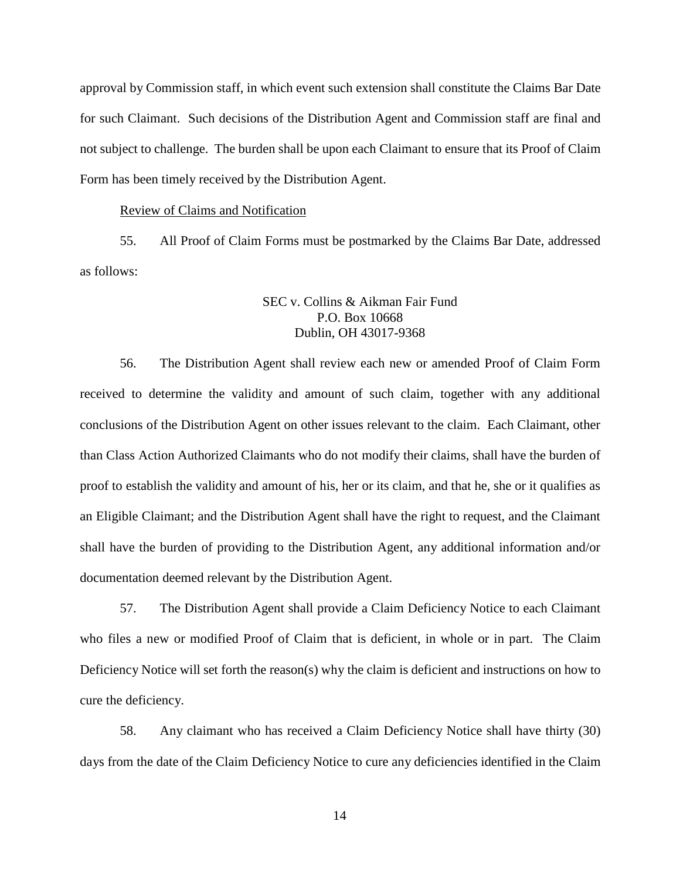approval by Commission staff, in which event such extension shall constitute the Claims Bar Date for such Claimant. Such decisions of the Distribution Agent and Commission staff are final and not subject to challenge. The burden shall be upon each Claimant to ensure that its Proof of Claim Form has been timely received by the Distribution Agent.

#### Review of Claims and Notification

55. All Proof of Claim Forms must be postmarked by the Claims Bar Date, addressed as follows:

## SEC v. Collins & Aikman Fair Fund P.O. Box 10668 Dublin, OH 43017-9368

56. The Distribution Agent shall review each new or amended Proof of Claim Form received to determine the validity and amount of such claim, together with any additional conclusions of the Distribution Agent on other issues relevant to the claim. Each Claimant, other than Class Action Authorized Claimants who do not modify their claims, shall have the burden of proof to establish the validity and amount of his, her or its claim, and that he, she or it qualifies as an Eligible Claimant; and the Distribution Agent shall have the right to request, and the Claimant shall have the burden of providing to the Distribution Agent, any additional information and/or documentation deemed relevant by the Distribution Agent.

57. The Distribution Agent shall provide a Claim Deficiency Notice to each Claimant who files a new or modified Proof of Claim that is deficient, in whole or in part. The Claim Deficiency Notice will set forth the reason(s) why the claim is deficient and instructions on how to cure the deficiency.

58. Any claimant who has received a Claim Deficiency Notice shall have thirty (30) days from the date of the Claim Deficiency Notice to cure any deficiencies identified in the Claim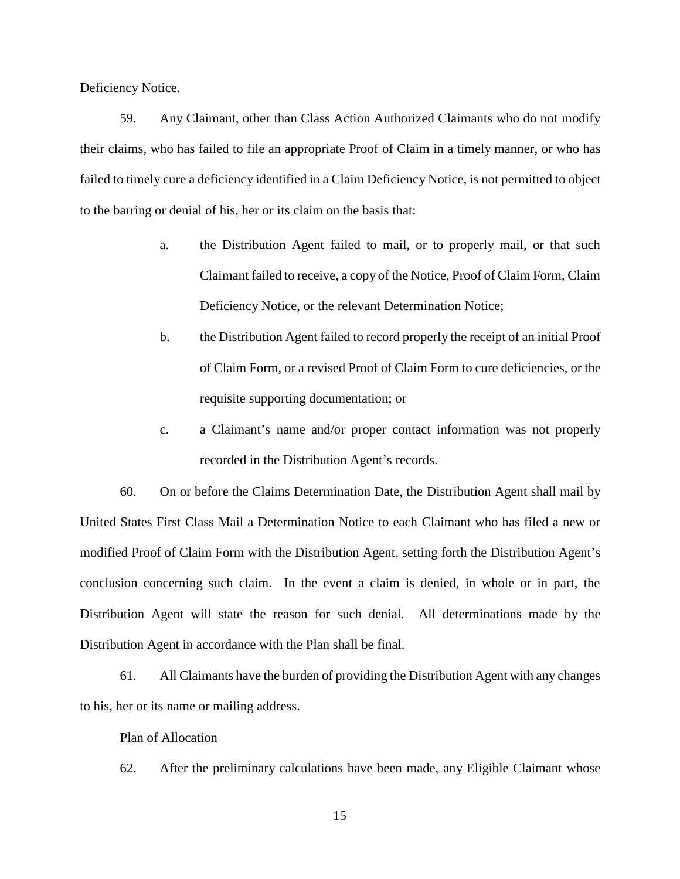Deficiency Notice.

59. Any Claimant, other than Class Action Authorized Claimants who do not modify their claims, who has failed to file an appropriate Proof of Claim in a timely manner, or who has failed to timely cure a deficiency identified in a Claim Deficiency Notice, is not permitted to object to the barring or denial of his, her or its claim on the basis that:

- a. the Distribution Agent failed to mail, or to properly mail, or that such Claimant failed to receive, a copy of the Notice, Proof of Claim Form, Claim Deficiency Notice, or the relevant Determination Notice;
- b. the Distribution Agent failed to record properly the receipt of an initial Proof of Claim Form, or a revised Proof of Claim Form to cure deficiencies, or the requisite supporting documentation; or
- c. a Claimant's name and/or proper contact information was not properly recorded in the Distribution Agent's records.

60. On or before the Claims Determination Date, the Distribution Agent shall mail by United States First Class Mail a Determination Notice to each Claimant who has filed a new or modified Proof of Claim Form with the Distribution Agent, setting forth the Distribution Agent's conclusion concerning such claim. In the event a claim is denied, in whole or in part, the Distribution Agent will state the reason for such denial. All determinations made by the Distribution Agent in accordance with the Plan shall be final.

61. All Claimants have the burden of providing the Distribution Agent with any changes to his, her or its name or mailing address.

#### Plan of Allocation

62. After the preliminary calculations have been made, any Eligible Claimant whose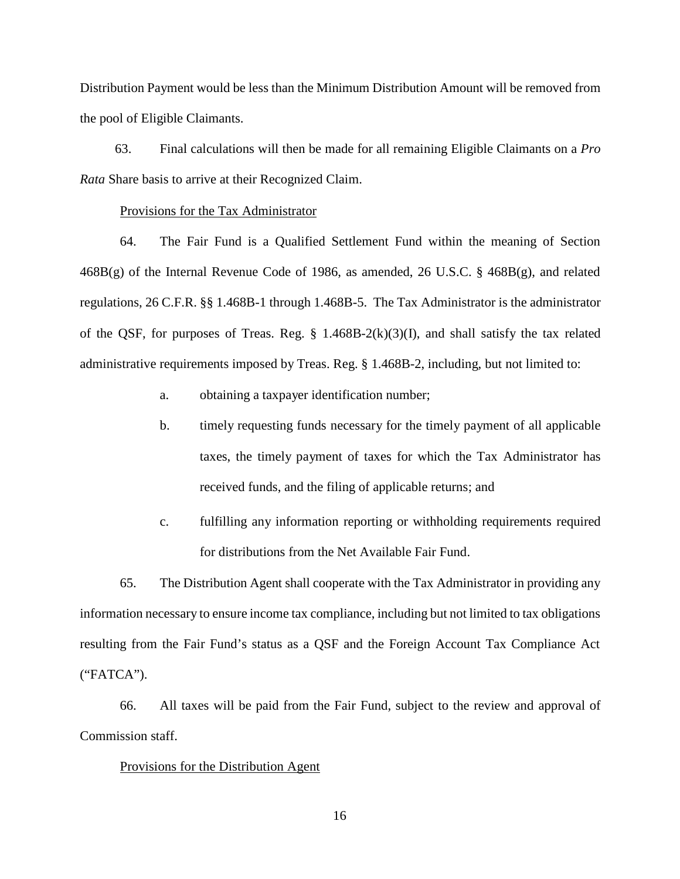Distribution Payment would be less than the Minimum Distribution Amount will be removed from the pool of Eligible Claimants.

63. Final calculations will then be made for all remaining Eligible Claimants on a *Pro Rata* Share basis to arrive at their Recognized Claim.

#### Provisions for the Tax Administrator

64. The Fair Fund is a Qualified Settlement Fund within the meaning of Section 468B(g) of the Internal Revenue Code of 1986, as amended, 26 U.S.C. § 468B(g), and related regulations, 26 C.F.R. §§ 1.468B-1 through 1.468B-5. The Tax Administrator is the administrator of the QSF, for purposes of Treas. Reg. § 1.468B-2(k)(3)(I), and shall satisfy the tax related administrative requirements imposed by Treas. Reg. § 1.468B-2, including, but not limited to:

- a. obtaining a taxpayer identification number;
- b. timely requesting funds necessary for the timely payment of all applicable taxes, the timely payment of taxes for which the Tax Administrator has received funds, and the filing of applicable returns; and
- c. fulfilling any information reporting or withholding requirements required for distributions from the Net Available Fair Fund.

65. The Distribution Agent shall cooperate with the Tax Administrator in providing any information necessary to ensure income tax compliance, including but not limited to tax obligations resulting from the Fair Fund's status as a QSF and the Foreign Account Tax Compliance Act ("FATCA").

66. All taxes will be paid from the Fair Fund, subject to the review and approval of Commission staff.

## Provisions for the Distribution Agent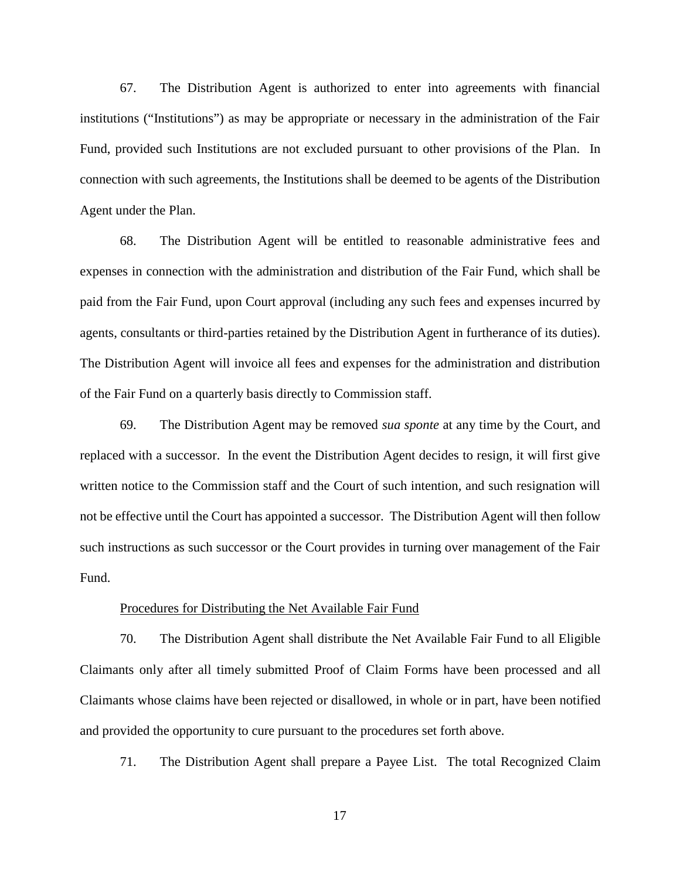67. The Distribution Agent is authorized to enter into agreements with financial institutions ("Institutions") as may be appropriate or necessary in the administration of the Fair Fund, provided such Institutions are not excluded pursuant to other provisions of the Plan. In connection with such agreements, the Institutions shall be deemed to be agents of the Distribution Agent under the Plan.

68. The Distribution Agent will be entitled to reasonable administrative fees and expenses in connection with the administration and distribution of the Fair Fund, which shall be paid from the Fair Fund, upon Court approval (including any such fees and expenses incurred by agents, consultants or third-parties retained by the Distribution Agent in furtherance of its duties). The Distribution Agent will invoice all fees and expenses for the administration and distribution of the Fair Fund on a quarterly basis directly to Commission staff.

69. The Distribution Agent may be removed *sua sponte* at any time by the Court, and replaced with a successor. In the event the Distribution Agent decides to resign, it will first give written notice to the Commission staff and the Court of such intention, and such resignation will not be effective until the Court has appointed a successor. The Distribution Agent will then follow such instructions as such successor or the Court provides in turning over management of the Fair Fund.

#### Procedures for Distributing the Net Available Fair Fund

70. The Distribution Agent shall distribute the Net Available Fair Fund to all Eligible Claimants only after all timely submitted Proof of Claim Forms have been processed and all Claimants whose claims have been rejected or disallowed, in whole or in part, have been notified and provided the opportunity to cure pursuant to the procedures set forth above.

71. The Distribution Agent shall prepare a Payee List. The total Recognized Claim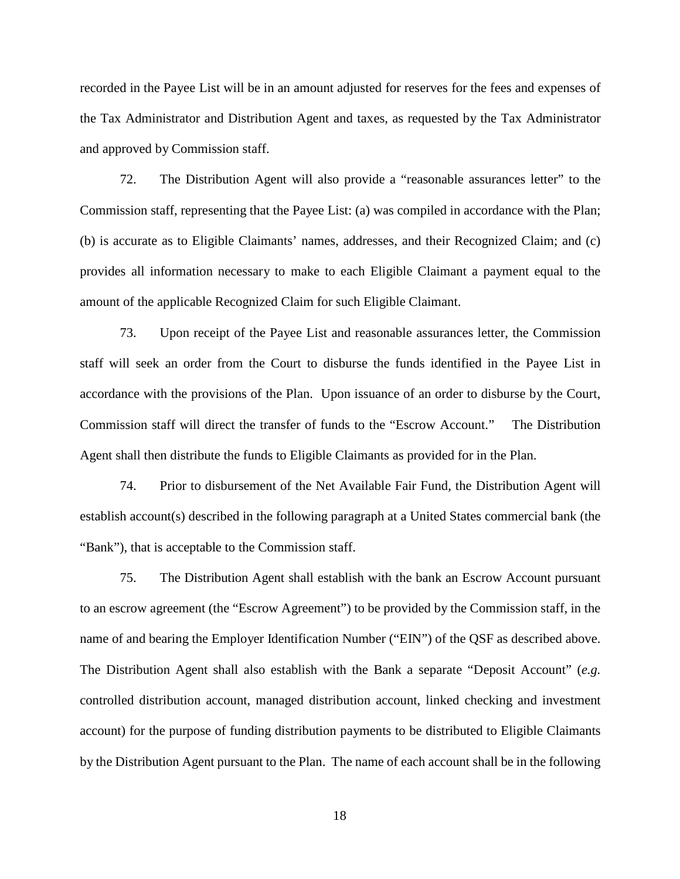recorded in the Payee List will be in an amount adjusted for reserves for the fees and expenses of the Tax Administrator and Distribution Agent and taxes, as requested by the Tax Administrator and approved by Commission staff.

72. The Distribution Agent will also provide a "reasonable assurances letter" to the Commission staff, representing that the Payee List: (a) was compiled in accordance with the Plan; (b) is accurate as to Eligible Claimants' names, addresses, and their Recognized Claim; and (c) provides all information necessary to make to each Eligible Claimant a payment equal to the amount of the applicable Recognized Claim for such Eligible Claimant.

73. Upon receipt of the Payee List and reasonable assurances letter, the Commission staff will seek an order from the Court to disburse the funds identified in the Payee List in accordance with the provisions of the Plan. Upon issuance of an order to disburse by the Court, Commission staff will direct the transfer of funds to the "Escrow Account." The Distribution Agent shall then distribute the funds to Eligible Claimants as provided for in the Plan.

74. Prior to disbursement of the Net Available Fair Fund, the Distribution Agent will establish account(s) described in the following paragraph at a United States commercial bank (the "Bank"), that is acceptable to the Commission staff.

75. The Distribution Agent shall establish with the bank an Escrow Account pursuant to an escrow agreement (the "Escrow Agreement") to be provided by the Commission staff, in the name of and bearing the Employer Identification Number ("EIN") of the QSF as described above. The Distribution Agent shall also establish with the Bank a separate "Deposit Account" (*e.g.* controlled distribution account, managed distribution account, linked checking and investment account) for the purpose of funding distribution payments to be distributed to Eligible Claimants by the Distribution Agent pursuant to the Plan. The name of each account shall be in the following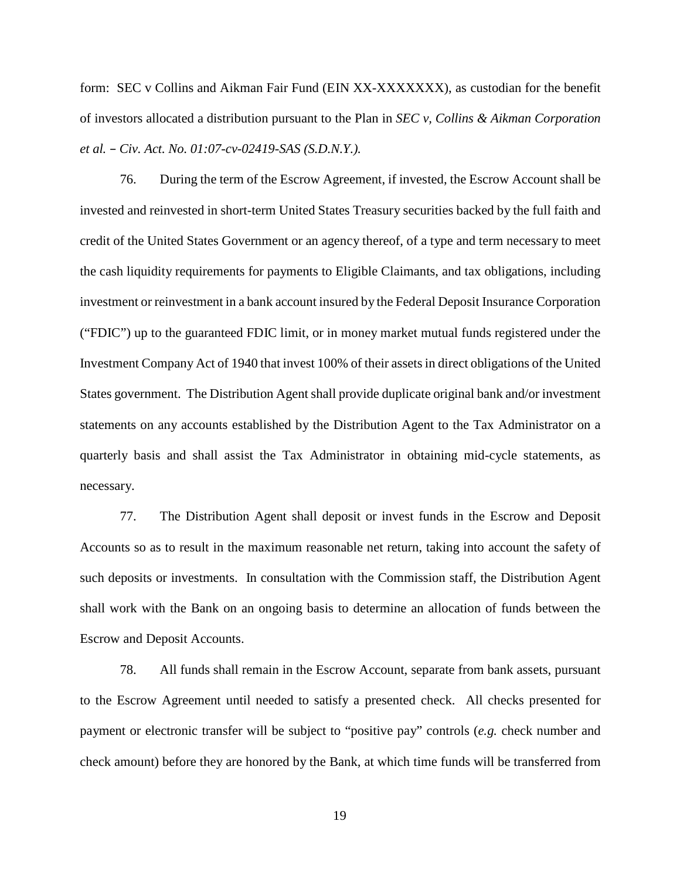form: SEC v Collins and Aikman Fair Fund (EIN XX-XXXXXXX), as custodian for the benefit of investors allocated a distribution pursuant to the Plan in *SEC v, Collins & Aikman Corporation et al. – Civ. Act. No. 01:07-cv-02419-SAS (S.D.N.Y.).*

76. During the term of the Escrow Agreement, if invested, the Escrow Account shall be invested and reinvested in short-term United States Treasury securities backed by the full faith and credit of the United States Government or an agency thereof, of a type and term necessary to meet the cash liquidity requirements for payments to Eligible Claimants, and tax obligations, including investment or reinvestment in a bank account insured by the Federal Deposit Insurance Corporation ("FDIC") up to the guaranteed FDIC limit, or in money market mutual funds registered under the Investment Company Act of 1940 that invest 100% of their assets in direct obligations of the United States government. The Distribution Agent shall provide duplicate original bank and/or investment statements on any accounts established by the Distribution Agent to the Tax Administrator on a quarterly basis and shall assist the Tax Administrator in obtaining mid-cycle statements, as necessary.

77. The Distribution Agent shall deposit or invest funds in the Escrow and Deposit Accounts so as to result in the maximum reasonable net return, taking into account the safety of such deposits or investments. In consultation with the Commission staff, the Distribution Agent shall work with the Bank on an ongoing basis to determine an allocation of funds between the Escrow and Deposit Accounts.

78. All funds shall remain in the Escrow Account, separate from bank assets, pursuant to the Escrow Agreement until needed to satisfy a presented check. All checks presented for payment or electronic transfer will be subject to "positive pay" controls (*e.g.* check number and check amount) before they are honored by the Bank, at which time funds will be transferred from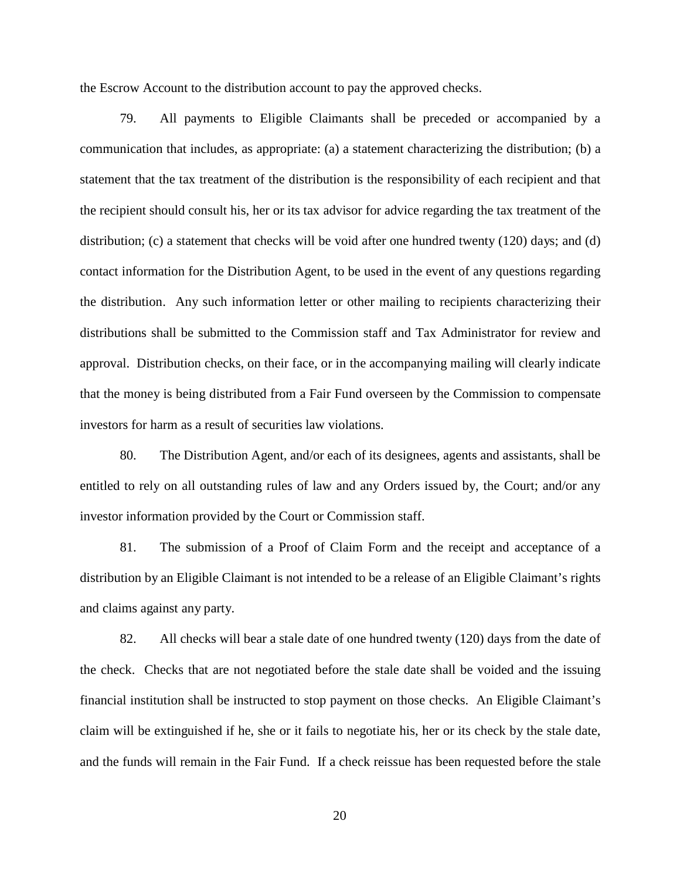the Escrow Account to the distribution account to pay the approved checks.

79. All payments to Eligible Claimants shall be preceded or accompanied by a communication that includes, as appropriate: (a) a statement characterizing the distribution; (b) a statement that the tax treatment of the distribution is the responsibility of each recipient and that the recipient should consult his, her or its tax advisor for advice regarding the tax treatment of the distribution; (c) a statement that checks will be void after one hundred twenty (120) days; and (d) contact information for the Distribution Agent, to be used in the event of any questions regarding the distribution. Any such information letter or other mailing to recipients characterizing their distributions shall be submitted to the Commission staff and Tax Administrator for review and approval. Distribution checks, on their face, or in the accompanying mailing will clearly indicate that the money is being distributed from a Fair Fund overseen by the Commission to compensate investors for harm as a result of securities law violations.

80. The Distribution Agent, and/or each of its designees, agents and assistants, shall be entitled to rely on all outstanding rules of law and any Orders issued by, the Court; and/or any investor information provided by the Court or Commission staff.

81. The submission of a Proof of Claim Form and the receipt and acceptance of a distribution by an Eligible Claimant is not intended to be a release of an Eligible Claimant's rights and claims against any party.

82. All checks will bear a stale date of one hundred twenty (120) days from the date of the check. Checks that are not negotiated before the stale date shall be voided and the issuing financial institution shall be instructed to stop payment on those checks. An Eligible Claimant's claim will be extinguished if he, she or it fails to negotiate his, her or its check by the stale date, and the funds will remain in the Fair Fund. If a check reissue has been requested before the stale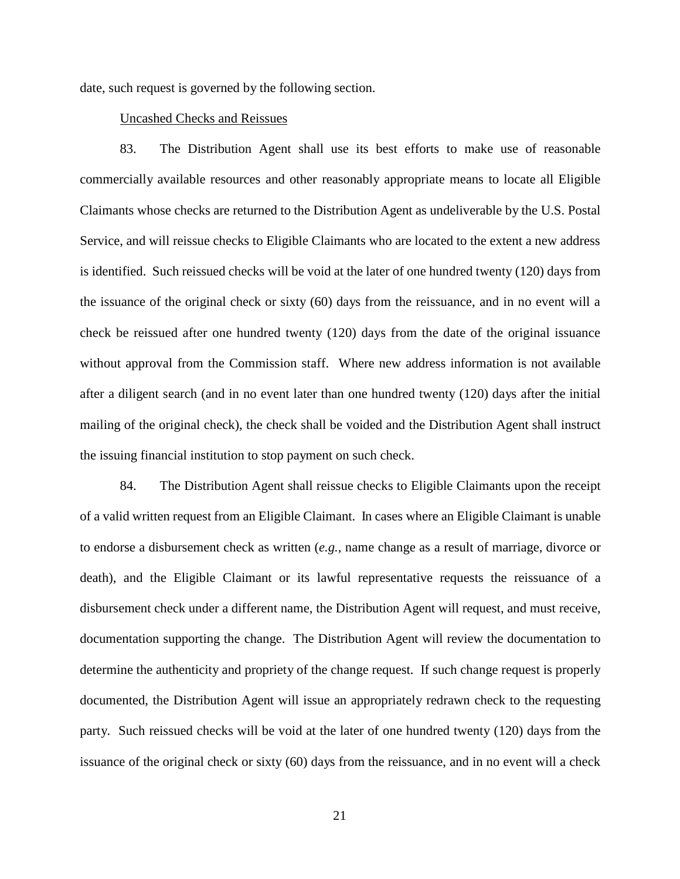date, such request is governed by the following section.

## Uncashed Checks and Reissues

83. The Distribution Agent shall use its best efforts to make use of reasonable commercially available resources and other reasonably appropriate means to locate all Eligible Claimants whose checks are returned to the Distribution Agent as undeliverable by the U.S. Postal Service, and will reissue checks to Eligible Claimants who are located to the extent a new address is identified. Such reissued checks will be void at the later of one hundred twenty (120) days from the issuance of the original check or sixty (60) days from the reissuance, and in no event will a check be reissued after one hundred twenty (120) days from the date of the original issuance without approval from the Commission staff. Where new address information is not available after a diligent search (and in no event later than one hundred twenty (120) days after the initial mailing of the original check), the check shall be voided and the Distribution Agent shall instruct the issuing financial institution to stop payment on such check.

84. The Distribution Agent shall reissue checks to Eligible Claimants upon the receipt of a valid written request from an Eligible Claimant. In cases where an Eligible Claimant is unable to endorse a disbursement check as written (*e.g.*, name change as a result of marriage, divorce or death), and the Eligible Claimant or its lawful representative requests the reissuance of a disbursement check under a different name, the Distribution Agent will request, and must receive, documentation supporting the change. The Distribution Agent will review the documentation to determine the authenticity and propriety of the change request. If such change request is properly documented, the Distribution Agent will issue an appropriately redrawn check to the requesting party. Such reissued checks will be void at the later of one hundred twenty (120) days from the issuance of the original check or sixty (60) days from the reissuance, and in no event will a check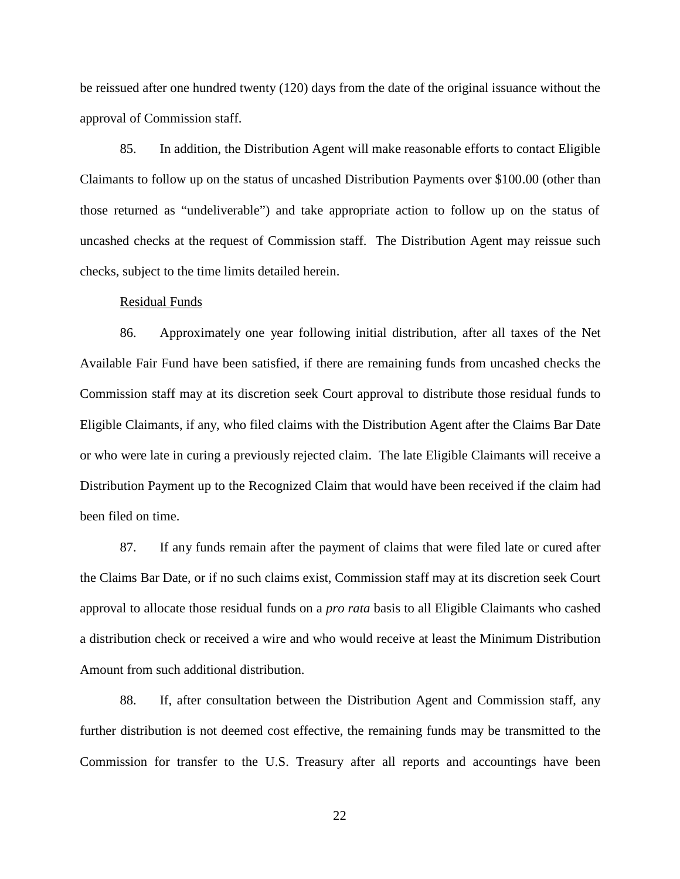be reissued after one hundred twenty (120) days from the date of the original issuance without the approval of Commission staff.

85. In addition, the Distribution Agent will make reasonable efforts to contact Eligible Claimants to follow up on the status of uncashed Distribution Payments over \$100.00 (other than those returned as "undeliverable") and take appropriate action to follow up on the status of uncashed checks at the request of Commission staff. The Distribution Agent may reissue such checks, subject to the time limits detailed herein.

#### Residual Funds

86. Approximately one year following initial distribution, after all taxes of the Net Available Fair Fund have been satisfied, if there are remaining funds from uncashed checks the Commission staff may at its discretion seek Court approval to distribute those residual funds to Eligible Claimants, if any, who filed claims with the Distribution Agent after the Claims Bar Date or who were late in curing a previously rejected claim. The late Eligible Claimants will receive a Distribution Payment up to the Recognized Claim that would have been received if the claim had been filed on time.

87. If any funds remain after the payment of claims that were filed late or cured after the Claims Bar Date, or if no such claims exist, Commission staff may at its discretion seek Court approval to allocate those residual funds on a *pro rata* basis to all Eligible Claimants who cashed a distribution check or received a wire and who would receive at least the Minimum Distribution Amount from such additional distribution.

88. If, after consultation between the Distribution Agent and Commission staff, any further distribution is not deemed cost effective, the remaining funds may be transmitted to the Commission for transfer to the U.S. Treasury after all reports and accountings have been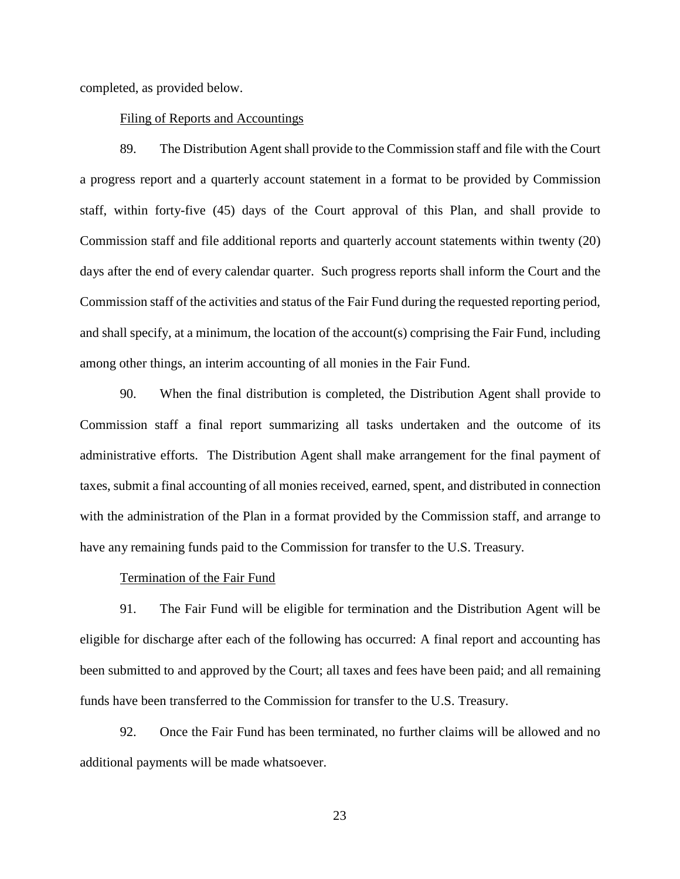completed, as provided below.

## Filing of Reports and Accountings

89. The Distribution Agent shall provide to the Commission staff and file with the Court a progress report and a quarterly account statement in a format to be provided by Commission staff, within forty-five (45) days of the Court approval of this Plan, and shall provide to Commission staff and file additional reports and quarterly account statements within twenty (20) days after the end of every calendar quarter. Such progress reports shall inform the Court and the Commission staff of the activities and status of the Fair Fund during the requested reporting period, and shall specify, at a minimum, the location of the account(s) comprising the Fair Fund, including among other things, an interim accounting of all monies in the Fair Fund.

90. When the final distribution is completed, the Distribution Agent shall provide to Commission staff a final report summarizing all tasks undertaken and the outcome of its administrative efforts. The Distribution Agent shall make arrangement for the final payment of taxes, submit a final accounting of all monies received, earned, spent, and distributed in connection with the administration of the Plan in a format provided by the Commission staff, and arrange to have any remaining funds paid to the Commission for transfer to the U.S. Treasury.

#### Termination of the Fair Fund

91. The Fair Fund will be eligible for termination and the Distribution Agent will be eligible for discharge after each of the following has occurred: A final report and accounting has been submitted to and approved by the Court; all taxes and fees have been paid; and all remaining funds have been transferred to the Commission for transfer to the U.S. Treasury.

92. Once the Fair Fund has been terminated, no further claims will be allowed and no additional payments will be made whatsoever.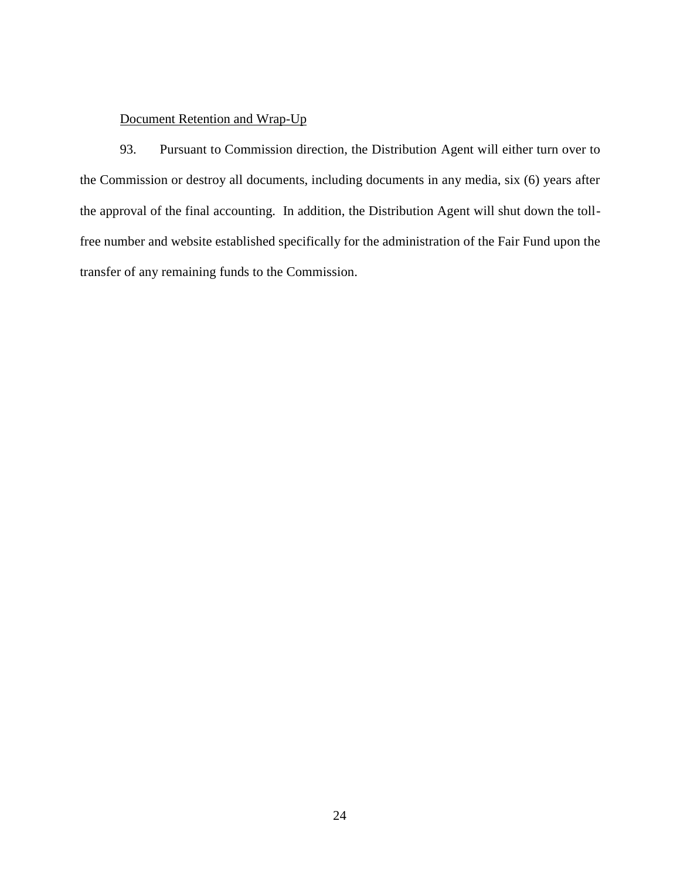# Document Retention and Wrap-Up

93. Pursuant to Commission direction, the Distribution Agent will either turn over to the Commission or destroy all documents, including documents in any media, six (6) years after the approval of the final accounting. In addition, the Distribution Agent will shut down the tollfree number and website established specifically for the administration of the Fair Fund upon the transfer of any remaining funds to the Commission.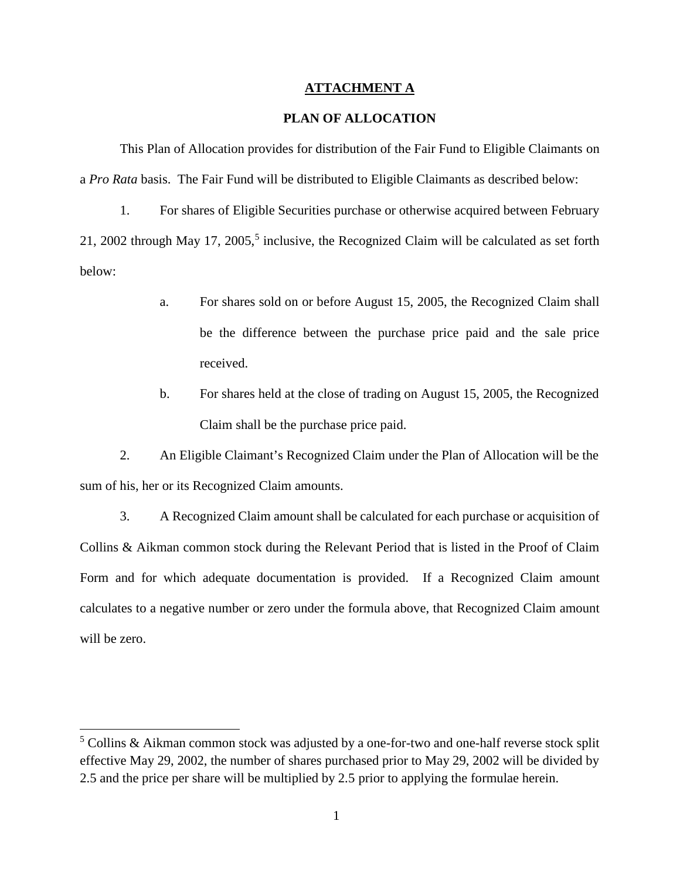## **ATTACHMENT A**

# **PLAN OF ALLOCATION**

This Plan of Allocation provides for distribution of the Fair Fund to Eligible Claimants on a *Pro Rata* basis. The Fair Fund will be distributed to Eligible Claimants as described below:

1. For shares of Eligible Securities purchase or otherwise acquired between February 21, 2002 through May 17, 2005,<sup>5</sup> inclusive, the Recognized Claim will be calculated as set forth below:

- a. For shares sold on or before August 15, 2005, the Recognized Claim shall be the difference between the purchase price paid and the sale price received.
- b. For shares held at the close of trading on August 15, 2005, the Recognized Claim shall be the purchase price paid.

2. An Eligible Claimant's Recognized Claim under the Plan of Allocation will be the sum of his, her or its Recognized Claim amounts.

3. A Recognized Claim amount shall be calculated for each purchase or acquisition of Collins & Aikman common stock during the Relevant Period that is listed in the Proof of Claim Form and for which adequate documentation is provided. If a Recognized Claim amount calculates to a negative number or zero under the formula above, that Recognized Claim amount will be zero.

<sup>&</sup>lt;sup>5</sup> Collins & Aikman common stock was adjusted by a one-for-two and one-half reverse stock split effective May 29, 2002, the number of shares purchased prior to May 29, 2002 will be divided by 2.5 and the price per share will be multiplied by 2.5 prior to applying the formulae herein.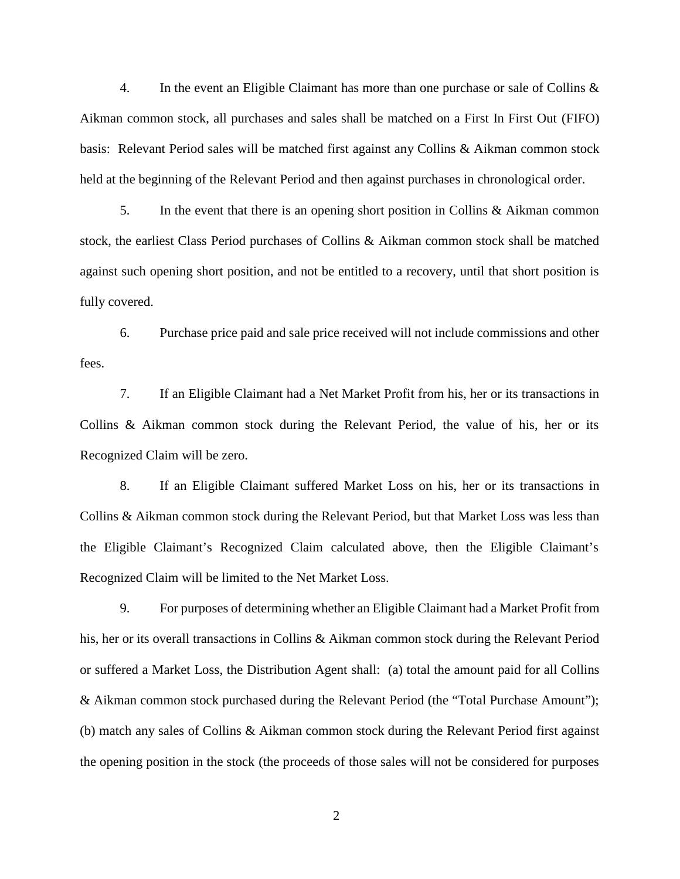4. In the event an Eligible Claimant has more than one purchase or sale of Collins & Aikman common stock, all purchases and sales shall be matched on a First In First Out (FIFO) basis: Relevant Period sales will be matched first against any Collins & Aikman common stock held at the beginning of the Relevant Period and then against purchases in chronological order.

5. In the event that there is an opening short position in Collins & Aikman common stock, the earliest Class Period purchases of Collins & Aikman common stock shall be matched against such opening short position, and not be entitled to a recovery, until that short position is fully covered.

6. Purchase price paid and sale price received will not include commissions and other fees.

7. If an Eligible Claimant had a Net Market Profit from his, her or its transactions in Collins & Aikman common stock during the Relevant Period, the value of his, her or its Recognized Claim will be zero.

8. If an Eligible Claimant suffered Market Loss on his, her or its transactions in Collins & Aikman common stock during the Relevant Period, but that Market Loss was less than the Eligible Claimant's Recognized Claim calculated above, then the Eligible Claimant's Recognized Claim will be limited to the Net Market Loss.

9. For purposes of determining whether an Eligible Claimant had a Market Profit from his, her or its overall transactions in Collins & Aikman common stock during the Relevant Period or suffered a Market Loss, the Distribution Agent shall: (a) total the amount paid for all Collins & Aikman common stock purchased during the Relevant Period (the "Total Purchase Amount"); (b) match any sales of Collins & Aikman common stock during the Relevant Period first against the opening position in the stock (the proceeds of those sales will not be considered for purposes